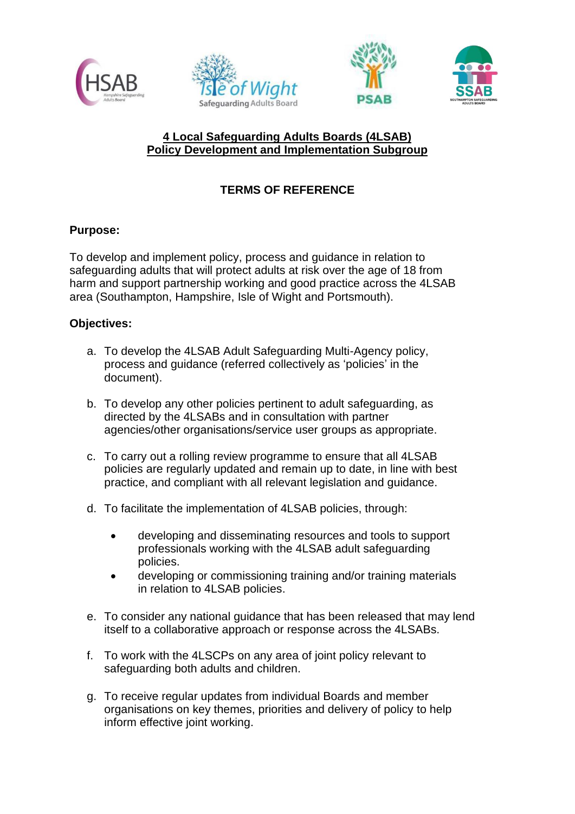





# **4 Local Safeguarding Adults Boards (4LSAB) Policy Development and Implementation Subgroup**

# **TERMS OF REFERENCE**

## **Purpose:**

To develop and implement policy, process and guidance in relation to safeguarding adults that will protect adults at risk over the age of 18 from harm and support partnership working and good practice across the 4LSAB area (Southampton, Hampshire, Isle of Wight and Portsmouth).

## **Objectives:**

- a. To develop the 4LSAB Adult Safeguarding Multi-Agency policy, process and guidance (referred collectively as 'policies' in the document).
- b. To develop any other policies pertinent to adult safeguarding, as directed by the 4LSABs and in consultation with partner agencies/other organisations/service user groups as appropriate.
- c. To carry out a rolling review programme to ensure that all 4LSAB policies are regularly updated and remain up to date, in line with best practice, and compliant with all relevant legislation and guidance.
- d. To facilitate the implementation of 4LSAB policies, through:
	- developing and disseminating resources and tools to support professionals working with the 4LSAB adult safeguarding policies.
	- developing or commissioning training and/or training materials in relation to 4LSAB policies.
- e. To consider any national guidance that has been released that may lend itself to a collaborative approach or response across the 4LSABs.
- f. To work with the 4LSCPs on any area of joint policy relevant to safeguarding both adults and children.
- g. To receive regular updates from individual Boards and member organisations on key themes, priorities and delivery of policy to help inform effective joint working.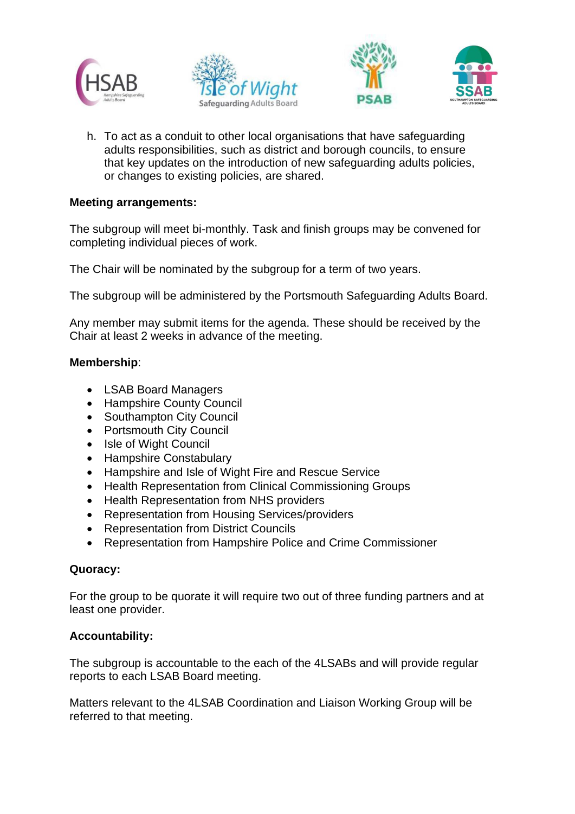





h. To act as a conduit to other local organisations that have safeguarding adults responsibilities, such as district and borough councils, to ensure that key updates on the introduction of new safeguarding adults policies, or changes to existing policies, are shared.

#### **Meeting arrangements:**

The subgroup will meet bi-monthly. Task and finish groups may be convened for completing individual pieces of work.

The Chair will be nominated by the subgroup for a term of two years.

The subgroup will be administered by the Portsmouth Safeguarding Adults Board.

Any member may submit items for the agenda. These should be received by the Chair at least 2 weeks in advance of the meeting.

#### **Membership**:

- LSAB Board Managers
- Hampshire County Council
- Southampton City Council
- Portsmouth City Council
- Isle of Wight Council
- Hampshire Constabulary
- Hampshire and Isle of Wight Fire and Rescue Service
- Health Representation from Clinical Commissioning Groups
- Health Representation from NHS providers
- Representation from Housing Services/providers
- Representation from District Councils
- Representation from Hampshire Police and Crime Commissioner

#### **Quoracy:**

For the group to be quorate it will require two out of three funding partners and at least one provider.

# **Accountability:**

The subgroup is accountable to the each of the 4LSABs and will provide regular reports to each LSAB Board meeting.

Matters relevant to the 4LSAB Coordination and Liaison Working Group will be referred to that meeting.